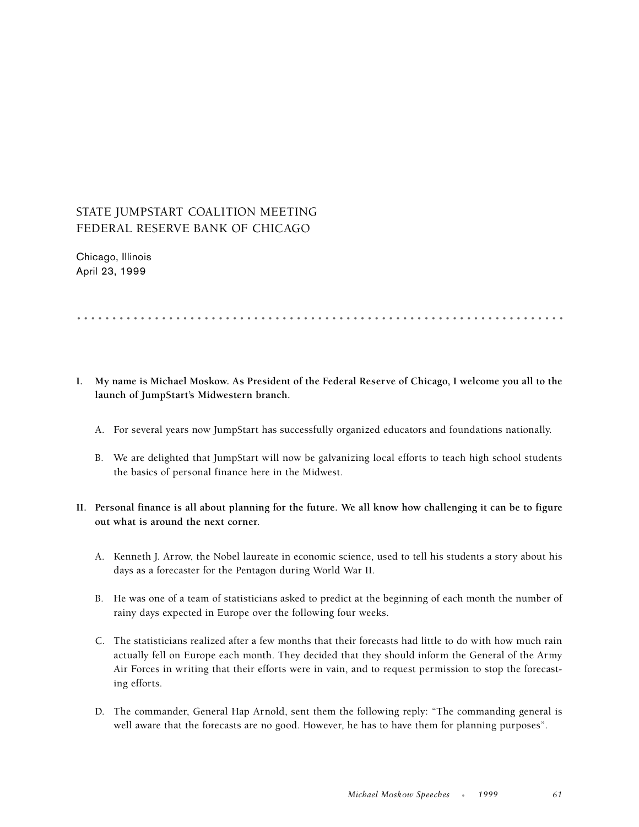## STATE JUMPSTART COALITION MEETING FEDERAL RESERVE BANK OF CHICAGO

Chicago, Illinois April 23, 1999

.....................................................................

- **I. My name is Michael Moskow. As President of the Federal Reserve of Chicago, I welcome you all to the launch of JumpStart's Midwestern branch.**
	- A. For several years now JumpStart has successfully organized educators and foundations nationally.
	- B. We are delighted that JumpStart will now be galvanizing local efforts to teach high school students the basics of personal finance here in the Midwest.
- **II. Personal finance is all about planning for the future. We all know how challenging it can be to figure out what is around the next corner.** 
	- A. Kenneth J. Arrow, the Nobel laureate in economic science, used to tell his students a story about his days as a forecaster for the Pentagon during World War II.
	- B. He was one of a team of statisticians asked to predict at the beginning of each month the number of rainy days expected in Europe over the following four weeks.
	- C. The statisticians realized after a few months that their forecasts had little to do with how much rain actually fell on Europe each month. They decided that they should inform the General of the Army Air Forces in writing that their efforts were in vain, and to request permission to stop the forecasting efforts.
	- D. The commander, General Hap Arnold, sent them the following reply: "The commanding general is well aware that the forecasts are no good. However, he has to have them for planning purposes".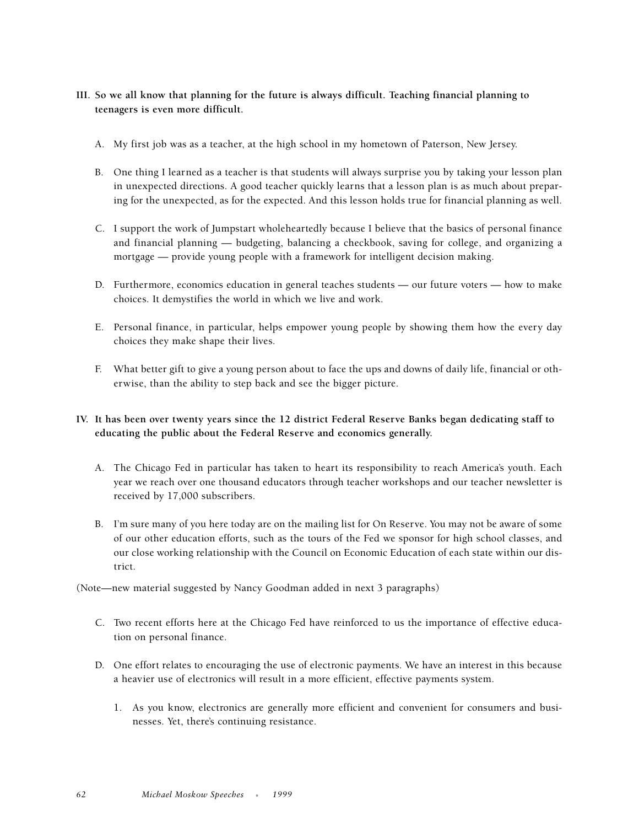- **III. So we all know that planning for the future is always difficult. Teaching financial planning to teenagers is even more difficult.** 
	- A. My first job was as a teacher, at the high school in my hometown of Paterson, New Jersey.
	- B. One thing I learned as a teacher is that students will always surprise you by taking your lesson plan in unexpected directions. A good teacher quickly learns that a lesson plan is as much about preparing for the unexpected, as for the expected. And this lesson holds true for financial planning as well.
	- C. I support the work of Jumpstart wholeheartedly because I believe that the basics of personal finance and financial planning — budgeting, balancing a checkbook, saving for college, and organizing a mortgage — provide young people with a framework for intelligent decision making.
	- D. Furthermore, economics education in general teaches students our future voters how to make choices. It demystifies the world in which we live and work.
	- E. Personal finance, in particular, helps empower young people by showing them how the every day choices they make shape their lives.
	- F. What better gift to give a young person about to face the ups and downs of daily life, financial or otherwise, than the ability to step back and see the bigger picture.

## **IV. It has been over twenty years since the 12 district Federal Reserve Banks began dedicating staff to educating the public about the Federal Reserve and economics generally.**

- A. The Chicago Fed in particular has taken to heart its responsibility to reach America's youth. Each year we reach over one thousand educators through teacher workshops and our teacher newsletter is received by 17,000 subscribers.
- B. I'm sure many of you here today are on the mailing list for On Reserve. You may not be aware of some of our other education efforts, such as the tours of the Fed we sponsor for high school classes, and our close working relationship with the Council on Economic Education of each state within our district.

(Note—new material suggested by Nancy Goodman added in next 3 paragraphs)

- C. Two recent efforts here at the Chicago Fed have reinforced to us the importance of effective education on personal finance.
- D. One effort relates to encouraging the use of electronic payments. We have an interest in this because a heavier use of electronics will result in a more efficient, effective payments system.
	- 1. As you know, electronics are generally more efficient and convenient for consumers and businesses. Yet, there's continuing resistance.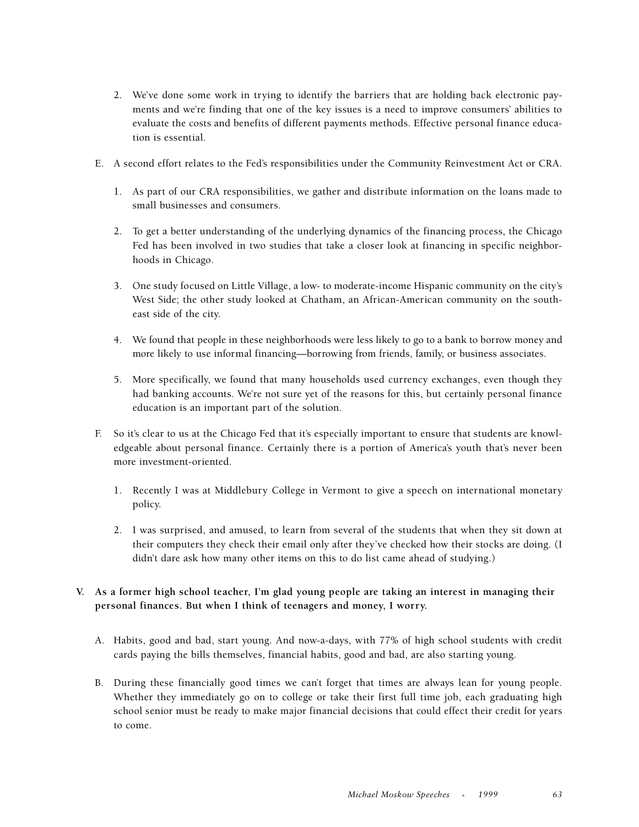- 2. We've done some work in trying to identify the barriers that are holding back electronic payments and we're finding that one of the key issues is a need to improve consumers' abilities to evaluate the costs and benefits of different payments methods. Effective personal finance education is essential.
- E. A second effort relates to the Fed's responsibilities under the Community Reinvestment Act or CRA.
	- 1. As part of our CRA responsibilities, we gather and distribute information on the loans made to small businesses and consumers.
	- 2. To get a better understanding of the underlying dynamics of the financing process, the Chicago Fed has been involved in two studies that take a closer look at financing in specific neighborhoods in Chicago.
	- 3. One study focused on Little Village, a low- to moderate-income Hispanic community on the city's West Side; the other study looked at Chatham, an African-American community on the southeast side of the city.
	- 4. We found that people in these neighborhoods were less likely to go to a bank to borrow money and more likely to use informal financing—borrowing from friends, family, or business associates.
	- 5. More specifically, we found that many households used currency exchanges, even though they had banking accounts. We're not sure yet of the reasons for this, but certainly personal finance education is an important part of the solution.
- F. So it's clear to us at the Chicago Fed that it's especially important to ensure that students are knowledgeable about personal finance. Certainly there is a portion of America's youth that's never been more investment-oriented.
	- 1. Recently I was at Middlebury College in Vermont to give a speech on international monetary policy.
	- 2. I was surprised, and amused, to learn from several of the students that when they sit down at their computers they check their email only after they've checked how their stocks are doing. (I didn't dare ask how many other items on this to do list came ahead of studying.)
- **V. As a former high school teacher, I'm glad young people are taking an interest in managing their personal finances. But when I think of teenagers and money, I worry.**
	- A. Habits, good and bad, start young. And now-a-days, with 77% of high school students with credit cards paying the bills themselves, financial habits, good and bad, are also starting young.
	- B. During these financially good times we can't forget that times are always lean for young people. Whether they immediately go on to college or take their first full time job, each graduating high school senior must be ready to make major financial decisions that could effect their credit for years to come.